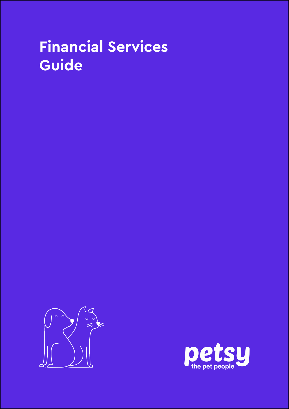# **Financial Services Guide**



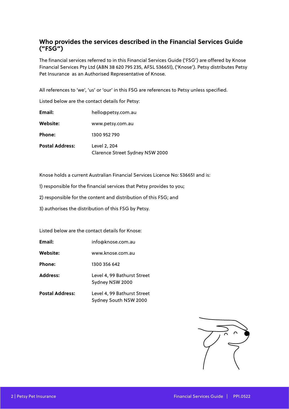## **Who provides the services described in the Financial Services Guide ("FSG")**

The financial services referred to in this Financial Services Guide ('FSG') are offered by Knose Financial Services Pty Ltd (ABN 38 620 795 235, AFSL 536651), ('Knose'). Petsy distributes Petsy Pet Insurance as an Authorised Representative of Knose.

All references to 'we', 'us' or 'our' in this FSG are references to Petsy unless specified.

Listed below are the contact details for Petsy:

| Email:                 | hello@petsy.com.au                              |
|------------------------|-------------------------------------------------|
| Website:               | www.petsy.com.au                                |
| Phone:                 | 1300 952 790                                    |
| <b>Postal Address:</b> | Level 2, 204<br>Clarence Street Sydney NSW 2000 |

Knose holds a current Australian Financial Services Licence No: 536651 and is:

1) responsible for the financial services that Petsy provides to you;

2) responsible for the content and distribution of this FSG; and

3) authorises the distribution of this FSG by Petsy.

Listed below are the contact details for Knose:

**Email:** info@knose.com.au

**Website:** www.knose.com.au

**Phone:** 1300 356 642

**Address:** Level 4, 99 Bathurst Street Sydney NSW 2000

**Postal Address:** Level 4, 99 Bathurst Street Sydney South NSW 2000

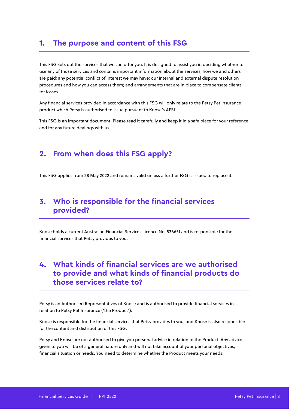# **1. The purpose and content of this FSG**

This FSG sets out the services that we can offer you. It is designed to assist you in deciding whether to use any of those services and contains important information about the services; how we and others are paid; any potential conflict of interest we may have; our internal and external dispute resolution procedures and how you can access them; and arrangements that are in place to compensate clients for losses.

Any financial services provided in accordance with this FSG will only relate to the Petsy Pet Insurance product which Petsy is authorised to issue pursuant to Knose's AFSL.

This FSG is an important document. Please read it carefully and keep it in a safe place for your reference and for any future dealings with us.

## **2. From when does this FSG apply?**

This FSG applies from 28 May 2022 and remains valid unless a further FSG is issued to replace it.

## **3. Who is responsible for the financial services provided?**

Knose holds a current Australian Financial Services Licence No: 536651 and is responsible for the financial services that Petsy provides to you.

# **4. What kinds of financial services are we authorised to provide and what kinds of financial products do those services relate to?**

Petsy is an Authorised Representatives of Knose and is authorised to provide financial services in relation to Petsy Pet Insurance ('the Product').

Knose is responsible for the financial services that Petsy provides to you, and Knose is also responsible for the content and distribution of this FSG.

Petsy and Knose are not authorised to give you personal advice in relation to the Product. Any advice given to you will be of a general nature only and will not take account of your personal objectives, financial situation or needs. You need to determine whether the Product meets your needs.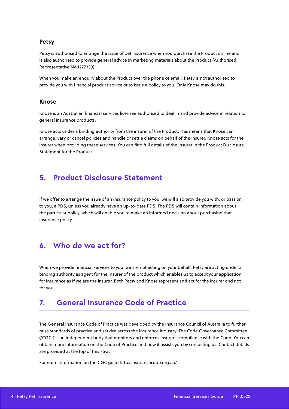#### **Petsy**

Petsy is authorised to arrange the issue of pet insurance when you purchase the Product online and is also authorised to provide general advice in marketing materials about the Product (Authorised Representative No.1277359).

When you make an enquiry about the Product over the phone or email, Petsy is not authorised to provide you with financial product advice or to issue a policy to you. Only Knose may do this.

#### **Knose**

Knose is an Australian financial services licensee authorised to deal in and provide advice in relation to general insurance products.

Knose acts under a binding authority from the insurer of the Product. This means that Knose can arrange, vary or cancel policies and handle or settle claims on behalf of the insurer. Knose acts for the insurer when providing these services. You can find full details of the insurer in the Product Disclosure Statement for the Product.

## **5. Product Disclosure Statement**

If we offer to arrange the issue of an insurance policy to you, we will also provide you with, or pass on to you, a PDS, unless you already have an up-to-date PDS. The PDS will contain information about the particular policy, which will enable you to make an informed decision about purchasing that insurance policy.

## **6. Who do we act for?**

When we provide financial services to you, we are not acting on your behalf. Petsy are acting under a binding authority as agent for the insurer of the product which enables us to accept your application for insurance as if we are the insurer. Both Petsy and Knose represent and act for the insurer and not for you.

## **7. General Insurance Code of Practice**

The General Insurance Code of Practice was developed by the Insurance Council of Australia to further raise standards of practice and service across the Insurance Industry. The Code Governance Committee ('CGC') is an independent body that monitors and enforces insurers' compliance with the Code. You can obtain more information on the Code of Practice and how it assists you by contacting us. Contact details are provided at the top of this FSG.

For more information on the CGC go to https:insurancecode.org.au/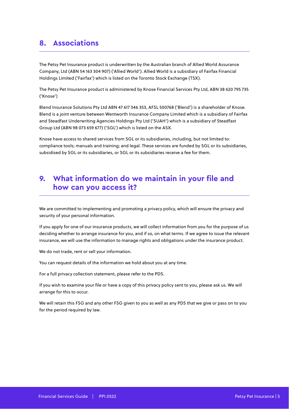# **8. Associations**

The Petsy Pet Insurance product is underwritten by the Australian branch of Allied World Assurance Company, Ltd (ABN 54 163 304 907) ('Allied World'). Allied World is a subsidiary of Fairfax Financial Holdings Limited ('Fairfax') which is listed on the Toronto Stock Exchange (TSX).

The Petsy Pet Insurance product is administered by Knose Financial Services Pty Ltd, ABN 38 620 795 735 ('Knose')

Blend Insurance Solutions Pty Ltd ABN 47 617 346 353, AFSL 500768 ('Blend') is a shareholder of Knose. Blend is a joint venture between Wentworth Insurance Company Limited which is a subsidiary of Fairfax and Steadfast Underwriting Agencies Holdings Pty Ltd ('SUAH') which is a subsidiary of Steadfast Group Ltd (ABN 98 073 659 677) ('SGL') which is listed on the ASX.

Knose have access to shared services from SGL or its subsidiaries, including, but not limited to: compliance tools; manuals and training; and legal. These services are funded by SGL or its subsidiaries, subsidised by SGL or its subsidiaries, or SGL or its subsidiaries receive a fee for them.

## **9. What information do we maintain in your file and how can you access it?**

We are committed to implementing and promoting a privacy policy, which will ensure the privacy and security of your personal information.

If you apply for one of our insurance products, we will collect information from you for the purpose of us deciding whether to arrange insurance for you, and if so, on what terms. If we agree to issue the relevant insurance, we will use the information to manage rights and obligations under the insurance product.

We do not trade, rent or sell your information.

You can request details of the information we hold about you at any time.

For a full privacy collection statement, please refer to the PDS.

If you wish to examine your file or have a copy of this privacy policy sent to you, please ask us. We will arrange for this to occur.

We will retain this FSG and any other FSG given to you as well as any PDS that we give or pass on to you for the period required by law.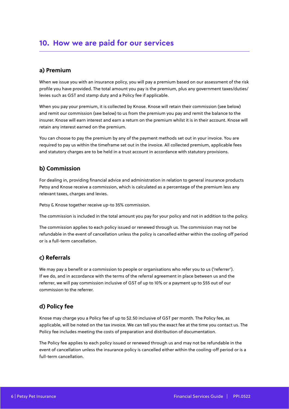## **a) Premium**

When we issue you with an insurance policy, you will pay a premium based on our assessment of the risk profile you have provided. The total amount you pay is the premium, plus any government taxes/duties/ levies such as GST and stamp duty and a Policy fee if applicable.

When you pay your premium, it is collected by Knose. Knose will retain their commission (see below) and remit our commission (see below) to us from the premium you pay and remit the balance to the insurer. Knose will earn interest and earn a return on the premium whilst it is in their account. Knose will retain any interest earned on the premium.

You can choose to pay the premium by any of the payment methods set out in your invoice. You are required to pay us within the timeframe set out in the invoice. All collected premium, applicable fees and statutory charges are to be held in a trust account in accordance with statutory provisions.

### **b) Commission**

For dealing in, providing financial advice and administration in relation to general insurance products Petsy and Knose receive a commission, which is calculated as a percentage of the premium less any relevant taxes, charges and levies.

Petsy & Knose together receive up-to 35% commission.

The commission is included in the total amount you pay for your policy and not in addition to the policy.

The commission applies to each policy issued or renewed through us. The commission may not be refundable in the event of cancellation unless the policy is cancelled either within the cooling off period or is a full-term cancellation.

### **c) Referrals**

We may pay a benefit or a commission to people or organisations who refer you to us ('referrer'). If we do, and in accordance with the terms of the referral agreement in place between us and the referrer, we will pay commission inclusive of GST of up to 10% or a payment up to \$55 out of our commission to the referrer.

## **d) Policy fee**

Knose may charge you a Policy fee of up to \$2.50 inclusive of GST per month. The Policy fee, as applicable, will be noted on the tax invoice. We can tell you the exact fee at the time you contact us. The Policy fee includes meeting the costs of preparation and distribution of documentation.

The Policy fee applies to each policy issued or renewed through us and may not be refundable in the event of cancellation unless the insurance policy is cancelled either within the cooling-off period or is a full-term cancellation.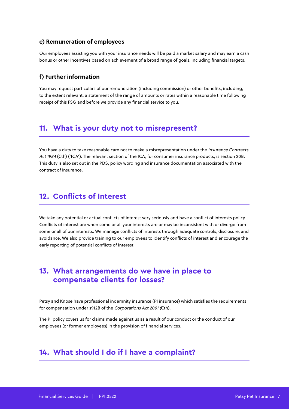#### **e) Remuneration of employees**

Our employees assisting you with your insurance needs will be paid a market salary and may earn a cash bonus or other incentives based on achievement of a broad range of goals, including financial targets.

#### **f) Further information**

You may request particulars of our remuneration (including commission) or other benefits, including, to the extent relevant, a statement of the range of amounts or rates within a reasonable time following receipt of this FSG and before we provide any financial service to you.

## **11. What is your duty not to misrepresent?**

You have a duty to take reasonable care not to make a misrepresentation under the Insurance Contracts Act 1984 (Cth) ('ICA'). The relevant section of the ICA, for consumer insurance products, is section 20B. This duty is also set out in the PDS, policy wording and insurance documentation associated with the contract of insurance.

## **12. Conflicts of Interest**

We take any potential or actual conflicts of interest very seriously and have a conflict of interests policy. Conflicts of interest are when some or all your interests are or may be inconsistent with or diverge from some or all of our interests. We manage conflicts of interests through adequate controls, disclosure, and avoidance. We also provide training to our employees to identify conflicts of interest and encourage the early reporting of potential conflicts of interest.

## **13. What arrangements do we have in place to compensate clients for losses?**

Petsy and Knose have professional indemnity insurance (PI insurance) which satisfies the requirements for compensation under s912B of the Corporations Act 2001 (Cth).

The PI policy covers us for claims made against us as a result of our conduct or the conduct of our employees (or former employees) in the provision of financial services.

## **14. What should I do if I have a complaint?**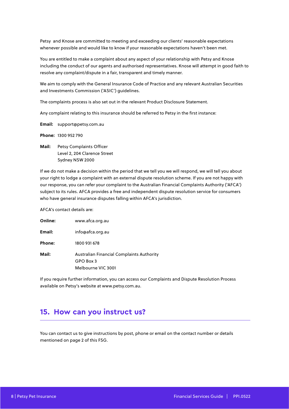Petsy and Knose are committed to meeting and exceeding our clients' reasonable expectations whenever possible and would like to know if your reasonable expectations haven't been met.

You are entitled to make a complaint about any aspect of your relationship with Petsy and Knose including the conduct of our agents and authorised representatives. Knose will attempt in good faith to resolve any complaint/dispute in a fair, transparent and timely manner.

We aim to comply with the General Insurance Code of Practice and any relevant Australian Securities and Investments Commission ('ASIC') guidelines.

The complaints process is also set out in the relevant Product Disclosure Statement.

Any complaint relating to this insurance should be referred to Petsy in the first instance:

**Email:** support@petsy.com.au

**Phone:** 1300 952 790

**Mail:** Petsy Complaints Officer Level 2, 204 Clarence Street Sydney NSW 2000

If we do not make a decision within the period that we tell you we will respond, we will tell you about your right to lodge a complaint with an external dispute resolution scheme. If you are not happy with our response, you can refer your complaint to the Australian Financial Complaints Authority ('AFCA') subject to its rules. AFCA provides a free and independent dispute resolution service for consumers who have general insurance disputes falling within AFCA's jurisdiction.

AFCA's contact details are:

| Online: | www.afca.org.au                                  |
|---------|--------------------------------------------------|
| Email:  | info@afca.org.au                                 |
| Phone:  | 1800 931 678                                     |
| Mail:   | <b>Australian Financial Complaints Authority</b> |
|         | GPO Box 3                                        |
|         | Melbourne VIC 3001                               |

If you require further information, you can access our Complaints and Dispute Resolution Process available on Petsy's website at www.petsy.com.au.

## **15. How can you instruct us?**

You can contact us to give instructions by post, phone or email on the contact number or details mentioned on page 2 of this FSG.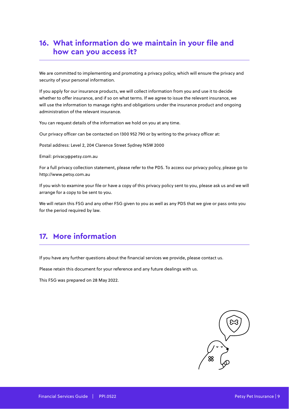# **16. What information do we maintain in your file and how can you access it?**

We are committed to implementing and promoting a privacy policy, which will ensure the privacy and security of your personal information.

If you apply for our insurance products, we will collect information from you and use it to decide whether to offer insurance, and if so on what terms. If we agree to issue the relevant insurance, we will use the information to manage rights and obligations under the insurance product and ongoing administration of the relevant insurance.

You can request details of the information we hold on you at any time.

Our privacy officer can be contacted on 1300 952 790 or by writing to the privacy officer at:

Postal address: Level 2, 204 Clarence Street Sydney NSW 2000

Email: privacy@petsy.com.au

For a full privacy collection statement, please refer to the PDS. To access our privacy policy, please go to http://www.petsy.com.au

If you wish to examine your file or have a copy of this privacy policy sent to you, please ask us and we will arrange for a copy to be sent to you.

We will retain this FSG and any other FSG given to you as well as any PDS that we give or pass onto you for the period required by law.

## **17. More information**

If you have any further questions about the financial services we provide, please contact us.

Please retain this document for your reference and any future dealings with us.

This FSG was prepared on 28 May 2022.